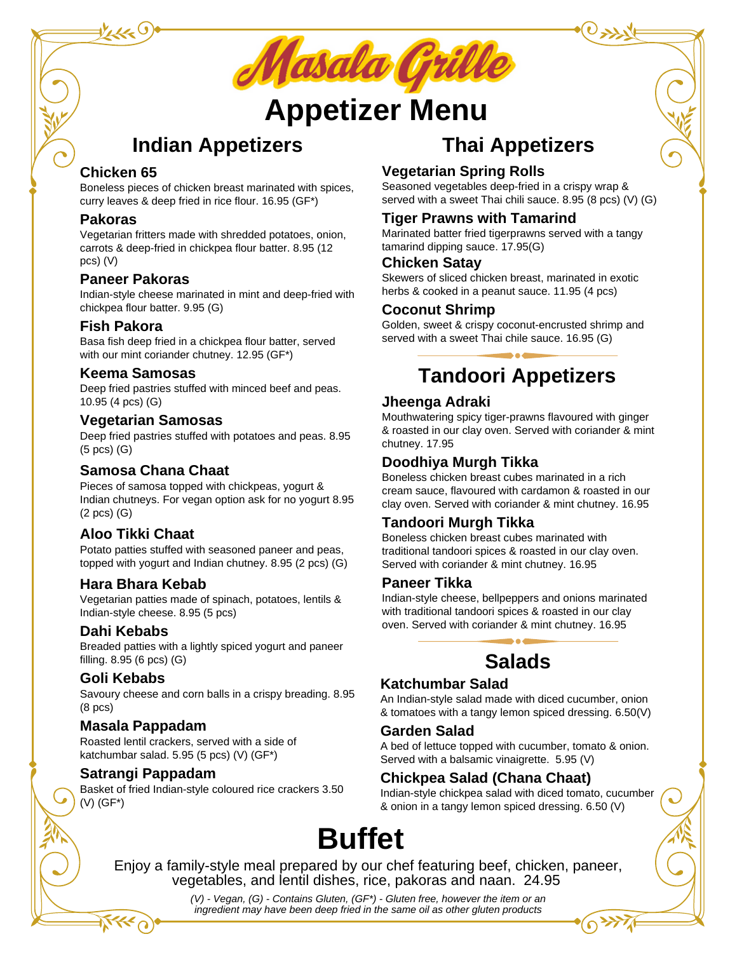

# **Appetizer Menu**

## **Indian Appetizers**

## **Chicken 65**

Boneless pieces of chicken breast marinated with spices, curry leaves & deep fried in rice flour. 16.95 (GF\*)

#### **Pakoras**

Vegetarian fritters made with shredded potatoes, onion, carrots & deep-fried in chickpea flour batter. 8.95 (12 pcs) (V)

## **Paneer Pakoras**

Indian-style cheese marinated in mint and deep-fried with chickpea flour batter. 9.95 (G)

#### **Fish Pakora**

Basa fish deep fried in a chickpea flour batter, served with our mint coriander chutney. 12.95 (GF\*)

#### **Keema Samosas**

Deep fried pastries stuffed with minced beef and peas. 10.95 (4 pcs) (G)

#### **Vegetarian Samosas**

Deep fried pastries stuffed with potatoes and peas. 8.95 (5 pcs) (G)

## **Samosa Chana Chaat**

Pieces of samosa topped with chickpeas, yogurt & Indian chutneys. For vegan option ask for no yogurt 8.95 (2 pcs) (G)

## **Aloo Tikki Chaat**

Potato patties stuffed with seasoned paneer and peas, topped with yogurt and Indian chutney. 8.95 (2 pcs) (G)

#### **Hara Bhara Kebab**

Vegetarian patties made of spinach, potatoes, lentils & Indian-style cheese. 8.95 (5 pcs)

#### **Dahi Kebabs**

Breaded patties with a lightly spiced yogurt and paneer filling. 8.95 (6 pcs) (G)

## **Goli Kebabs**

Savoury cheese and corn balls in a crispy breading. 8.95 (8 pcs)

## **Masala Pappadam**

Roasted lentil crackers, served with a side of katchumbar salad. 5.95 (5 pcs) (V) (GF\*)

#### **Satrangi Pappadam**

Basket of fried Indian-style coloured rice crackers 3.50 (V) (GF\*)

## **Thai Appetizers**

## **Vegetarian Spring Rolls**

Seasoned vegetables deep-fried in a crispy wrap & served with a sweet Thai chili sauce. 8.95 (8 pcs) (V) (G)

## **Tiger Prawns with Tamarind**

Marinated batter fried tigerprawns served with a tangy tamarind dipping sauce. 17.95(G)

#### **Chicken Satay**

Skewers of sliced chicken breast, marinated in exotic herbs & cooked in a peanut sauce. 11.95 (4 pcs)

#### **Coconut Shrimp**

Golden, sweet & crispy coconut-encrusted shrimp and served with a sweet Thai chile sauce. 16.95 (G)

## **Tandoori Appetizers**

## **Jheenga Adraki**

Mouthwatering spicy tiger-prawns flavoured with ginger & roasted in our clay oven. Served with coriander & mint chutney. 17.95

## **Doodhiya Murgh Tikka**

Boneless chicken breast cubes marinated in a rich cream sauce, flavoured with cardamon & roasted in our clay oven. Served with coriander & mint chutney. 16.95

## **Tandoori Murgh Tikka**

Boneless chicken breast cubes marinated with traditional tandoori spices & roasted in our clay oven. Served with coriander & mint chutney. 16.95

#### **Paneer Tikka**

Indian-style cheese, bellpeppers and onions marinated with traditional tandoori spices & roasted in our clay oven. Served with coriander & mint chutney. 16.95

## **Salads**

## **Katchumbar Salad**

An Indian-style salad made with diced cucumber, onion & tomatoes with a tangy lemon spiced dressing. 6.50(V)

#### **Garden Salad**

A bed of lettuce topped with cucumber, tomato & onion. Served with a balsamic vinaigrette. 5.95 (V)

## **Chickpea Salad (Chana Chaat)**

Indian-style chickpea salad with diced tomato, cucumber & onion in a tangy lemon spiced dressing. 6.50 (V)

# **Buffet**

Enjoy a family-style meal prepared by our chef featuring beef, chicken, paneer, vegetables, and lentil dishes, rice, pakoras and naan. 24.95

> *(V) - Vegan, (G) - Contains Gluten, (GF\*) - Gluten free, however the item or an ingredient may have been deep fried in the same oil as other gluten products*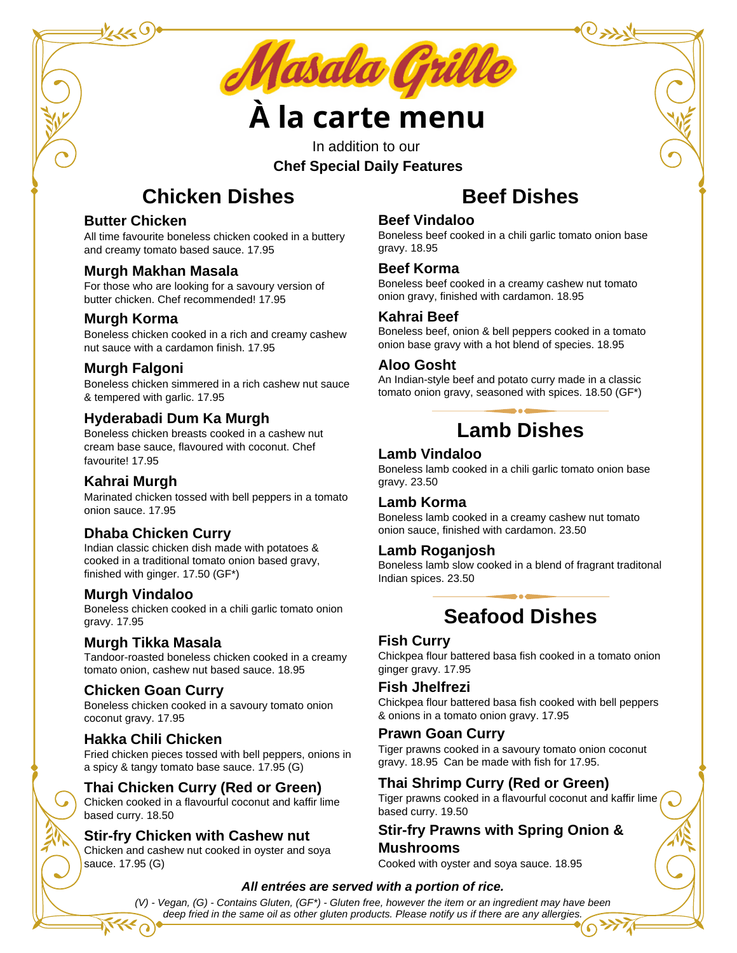

# **À la carte menu**

In addition to our **Chef Special Daily Features**

## **Chicken Dishes**

## **Butter Chicken**

All time favourite boneless chicken cooked in a buttery and creamy tomato based sauce. 17.95

## **Murgh Makhan Masala**

For those who are looking for a savoury version of butter chicken. Chef recommended! 17.95

## **Murgh Korma**

Boneless chicken cooked in a rich and creamy cashew nut sauce with a cardamon finish. 17.95

## **Murgh Falgoni**

Boneless chicken simmered in a rich cashew nut sauce & tempered with garlic. 17.95

## **Hyderabadi Dum Ka Murgh**

Boneless chicken breasts cooked in a cashew nut cream base sauce, flavoured with coconut. Chef favourite! 17.95

## **Kahrai Murgh**

Marinated chicken tossed with bell peppers in a tomato onion sauce. 17.95

## **Dhaba Chicken Curry**

Indian classic chicken dish made with potatoes & cooked in a traditional tomato onion based gravy, finished with ginger. 17.50 (GF\*)

#### **Murgh Vindaloo**

Boneless chicken cooked in a chili garlic tomato onion gravy. 17.95

## **Murgh Tikka Masala**

Tandoor-roasted boneless chicken cooked in a creamy tomato onion, cashew nut based sauce. 18.95

## **Chicken Goan Curry**

Boneless chicken cooked in a savoury tomato onion coconut gravy. 17.95

## **Hakka Chili Chicken**

Fried chicken pieces tossed with bell peppers, onions in a spicy & tangy tomato base sauce. 17.95 (G)

## **Thai Chicken Curry (Red or Green)**

Chicken cooked in a flavourful coconut and kaffir lime based curry. 18.50

## **Stir-fry Chicken with Cashew nut**

Chicken and cashew nut cooked in oyster and soya sauce. 17.95 (G)

## **Beef Dishes**

#### **Beef Vindaloo**

Boneless beef cooked in a chili garlic tomato onion base gravy. 18.95

#### **Beef Korma**

Boneless beef cooked in a creamy cashew nut tomato onion gravy, finished with cardamon. 18.95

#### **Kahrai Beef**

Boneless beef, onion & bell peppers cooked in a tomato onion base gravy with a hot blend of species. 18.95

## **Aloo Gosht**

An Indian-style beef and potato curry made in a classic tomato onion gravy, seasoned with spices. 18.50 (GF\*)

## **Lamb Dishes**

#### **Lamb Vindaloo**

Boneless lamb cooked in a chili garlic tomato onion base gravy. 23.50

## **Lamb Korma**

Boneless lamb cooked in a creamy cashew nut tomato onion sauce, finished with cardamon. 23.50

## **Lamb Roganjosh**

Boneless lamb slow cooked in a blend of fragrant traditonal Indian spices. 23.50

## **Seafood Dishes**

## **Fish Curry**

Chickpea flour battered basa fish cooked in a tomato onion ginger gravy. 17.95

## **Fish Jhelfrezi**

Chickpea flour battered basa fish cooked with bell peppers & onions in a tomato onion gravy. 17.95

#### **Prawn Goan Curry**

Tiger prawns cooked in a savoury tomato onion coconut gravy. 18.95 Can be made with fish for 17.95.

## **Thai Shrimp Curry (Red or Green)**

Tiger prawns cooked in a flavourful coconut and kaffir lime based curry. 19.50

## **Stir-fry Prawns with Spring Onion & Mushrooms**

Cooked with oyster and soya sauce. 18.95

#### *All entrées are served with a portion of rice.*

(V) - Vegan, (G) - Contains Gluten, (GF\*) - Gluten free, however the item or an ingredient may have been *deep fried in the same oilas other gluten products. Please notify us if there are any allergies.*